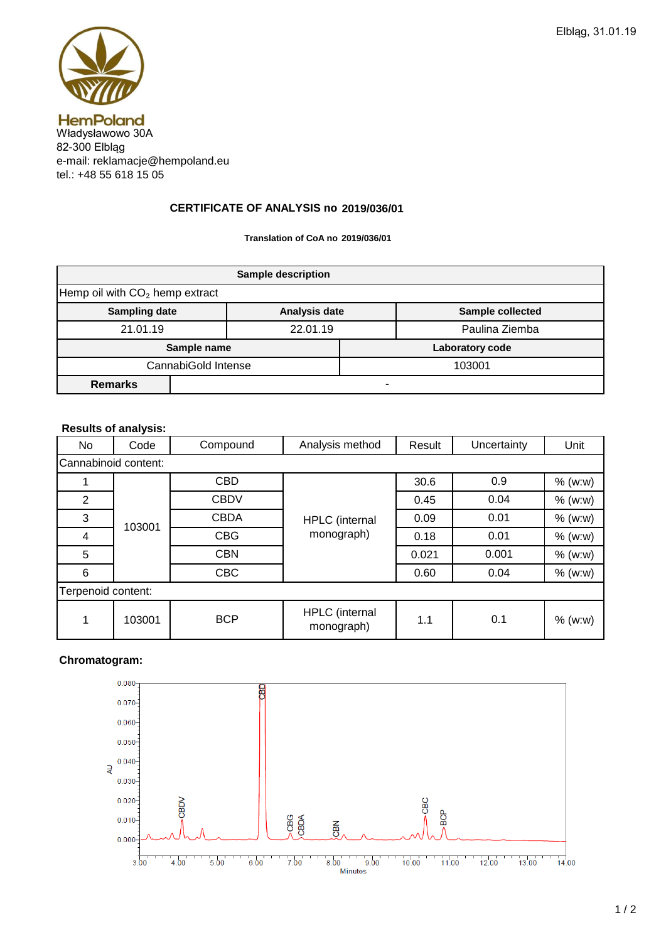

e-mail: reklamacje@hempoland.eu tel.: +48 55 618 15 05

## **2019/036/01 CERTIFICATE OF ANALYSIS no**

**Translation of CoA no 2019/036/01**

| <b>Sample description</b>                  |  |               |                 |                         |  |  |  |
|--------------------------------------------|--|---------------|-----------------|-------------------------|--|--|--|
| Hemp oil with CO <sub>2</sub> hemp extract |  |               |                 |                         |  |  |  |
| <b>Sampling date</b>                       |  | Analysis date |                 | <b>Sample collected</b> |  |  |  |
| 21.01.19                                   |  | 22.01.19      |                 | Paulina Ziemba          |  |  |  |
| Sample name                                |  |               | Laboratory code |                         |  |  |  |
| CannabiGold Intense                        |  |               | 103001          |                         |  |  |  |
| <b>Remarks</b>                             |  |               |                 |                         |  |  |  |

## **Results of analysis:**

| No                   | Code   | Compound    | Analysis method              | Result | Uncertainty | Unit      |  |  |  |  |
|----------------------|--------|-------------|------------------------------|--------|-------------|-----------|--|--|--|--|
| Cannabinoid content: |        |             |                              |        |             |           |  |  |  |  |
|                      | 103001 | <b>CBD</b>  |                              | 30.6   | 0.9         | $%$ (w:w) |  |  |  |  |
| 2                    |        | <b>CBDV</b> |                              | 0.45   | 0.04        | % (w:w)   |  |  |  |  |
| 3                    |        | <b>CBDA</b> | HPLC (internal               | 0.09   | 0.01        | $%$ (w:w) |  |  |  |  |
| 4                    |        | <b>CBG</b>  | monograph)                   | 0.18   | 0.01        | $%$ (w:w) |  |  |  |  |
| 5                    |        | <b>CBN</b>  |                              | 0.021  | 0.001       | $%$ (w:w) |  |  |  |  |
| 6                    |        | <b>CBC</b>  |                              | 0.60   | 0.04        | $%$ (w:w) |  |  |  |  |
| Terpenoid content:   |        |             |                              |        |             |           |  |  |  |  |
| 1                    | 103001 | <b>BCP</b>  | HPLC (internal<br>monograph) | 1.1    | 0.1         | $%$ (w:w) |  |  |  |  |

## **Chromatogram:**